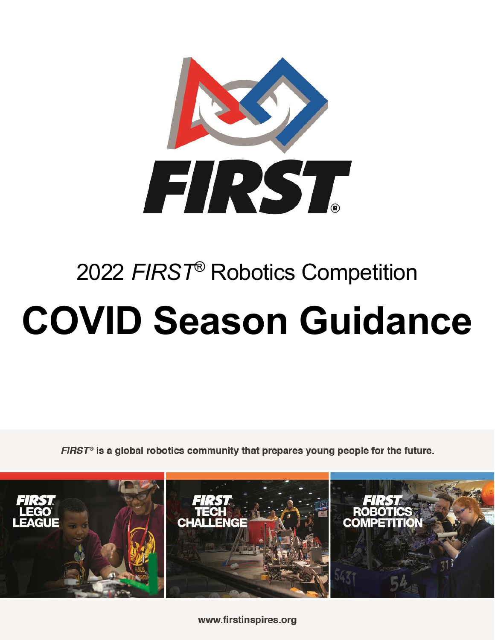

# 2022 *FIRST* ® Robotics Competition **COVID Season Guidance**

 $FIRST<sup>°</sup>$  is a global robotics community that prepares young people for the future.



www.firstinspires.org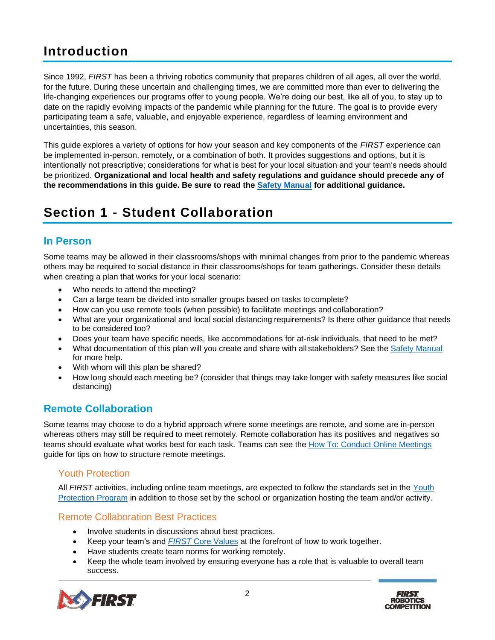# **Introduction**

Since 1992, *FIRST* has been a thriving robotics community that prepares children of all ages, all over the world, for the future. During these uncertain and challenging times, we are committed more than ever to delivering the life-changing experiences our programs offer to young people. We're doing our best, like all of you, to stay up to date on the rapidly evolving impacts of the pandemic while planning for the future. The goal is to provide every participating team a safe, valuable, and enjoyable experience, regardless of learning environment and uncertainties, this season.

This guide explores a variety of options for how your season and key components of the *FIRST* experience can be implemented in-person, remotely, or a combination of both. It provides suggestions and options, but it is intentionally not prescriptive; considerations for what is best for your local situation and your team's needs should be prioritized. **Organizational and local health and safety regulations and guidance should precede any of the recommendations in this guide. Be sure to read the [Safety Manual](https://www.firstinspires.org/robotics/frc/safety) for additional guidance.**

# **Section 1 - Student Collaboration**

## **In Person**

Some teams may be allowed in their classrooms/shops with minimal changes from prior to the pandemic whereas others may be required to social distance in their classrooms/shops for team gatherings. Consider these details when creating a plan that works for your local scenario:

- Who needs to attend the meeting?
- Can a large team be divided into smaller groups based on tasks to complete?
- How can you use remote tools (when possible) to facilitate meetings and collaboration?
- What are your organizational and local social distancing requirements? Is there other guidance that needs to be considered too?
- Does your team have specific needs, like accommodations for at-risk individuals, that need to be met?
- What documentation of this plan will you create and share with all stakeholders? See the Safety [Manual](https://www.firstinspires.org/robotics/frc/safety) for more help.
- With whom will this plan be shared?
- How long should each meeting be? (consider that things may take longer with safety measures like social distancing)

# **Remote Collaboration**

Some teams may choose to do a hybrid approach where some meetings are remote, and some are in-person whereas others may still be required to meet remotely. Remote collaboration has its positives and negatives so teams should evaluate what works best for each task. Teams can see the [How To: Conduct Online](https://www.firstinspires.org/sites/default/files/uploads/resource_library/frc/team-resources/tca/tca-online-meeting-resource.pdf) Meetings guide for tips on how to structure remote meetings.

## Youth Protection

All *FIRST* activities, including online team meetings, are expected to follow the standards set in the Youth [Protection Program](https://www.firstinspires.org/sites/default/files/uploads/about/FIRST-YPP-ProgramGuide.pdf) in addition to those set by the school or organization hosting the team and/or activity.

#### Remote Collaboration Best Practices

- Involve students in discussions about best practices.
- Keep your team's and *FIRST* [Core Values](https://www.firstinspires.org/about/vision-and-mission) at the forefront of how to work together.
- Have students create team norms for working remotely.
- Keep the whole team involved by ensuring everyone has a role that is valuable to overall team success.



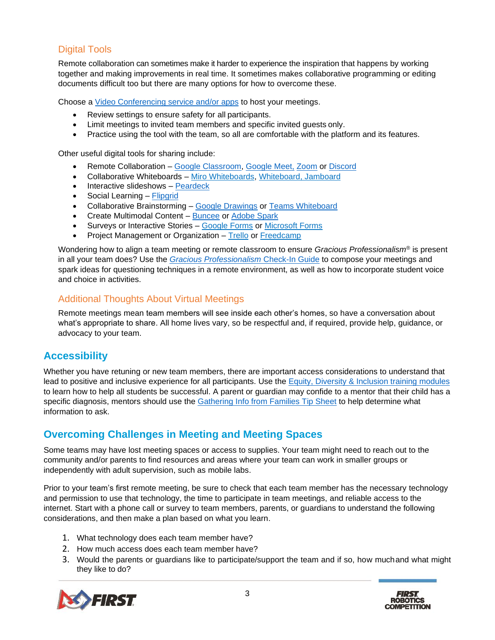## Digital Tools

Remote collaboration can sometimes make it harder to experience the inspiration that happens by working together and making improvements in real time. It sometimes makes collaborative programming or editing documents difficult too but there are many options for how to overcome these.

Choose a [Video Conferencing service and/or](https://www.edutopia.org/article/essential-apps-physical-and-digital-classroom) apps to host your meetings.

- Review settings to ensure safety for all participants.
- Limit meetings to invited team members and specific invited guests only.
- Practice using the tool with the team, so all are comfortable with the platform and its features.

Other useful digital tools for sharing include:

- Remote Collaboration [Google Classroom,](https://edu.google.com/products/classroom/?modal_active=none&%2Fready-to-go) [Google Meet,](https://meet.google.com/) [Zoom](https://zoom.us/about) or [Discord](https://discord.com/new)
- Collaborative Whiteboards [Miro Whiteboards,](https://miro.com/) [Whiteboard,](https://whiteboard.fi/) [Jamboard](https://edu.google.com/products/jamboard/?modal_active=none)
- Interactive slideshows [Peardeck](https://www.peardeck.com/remote-learning)
- Social Learning [Flipgrid](https://info.flipgrid.com/)
- Collaborative Brainstorming [Google Drawings](https://sites.google.com/isd423.org/draw/home) or [Teams Whiteboard](https://docs.microsoft.com/en-us/microsoftteams/manage-whiteboard)
- Create Multimodal Content [Buncee](https://app.edu.buncee.com/) or [Adobe Spark](https://spark.adobe.com/)
- Surveys or Interactive Stories [Google Forms](https://www.google.com/forms/about/) or [Microsoft Forms](https://support.microsoft.com/en-us/office/create-a-form-with-microsoft-forms-4ffb64cc-7d5d-402f-b82e-b1d49418fd9d)
- Project Management or Organization [Trello](https://trello.com/en-US/about) or [Freedcamp](https://freedcamp.com/)

Wondering how to align a team meeting or remote classroom to ensure *Gracious Professionalism*® is present in all your team does? Use the *[Gracious Professionalism](https://www.firstinspires.org/sites/default/files/uploads/resource_library/educators/firstathome/2020/gp-checkin.pdf)* Check-In Guide to compose your meetings and spark ideas for questioning techniques in a remote environment, as well as how to incorporate student voice and choice in activities.

#### Additional Thoughts About Virtual Meetings

Remote meetings mean team members will see inside each other's homes, so have a conversation about what's appropriate to share. All home lives vary, so be respectful and, if required, provide help, guidance, or advocacy to your team.

## **Accessibility**

Whether you have retuning or new team members, there are important access considerations to understand that lead to positive and inclusive experience for all participants. Use the [Equity, Diversity & Inclusion training modules](https://www.firstinspires.org/resource-library/training-equity-diversity-inclusion) to learn how to help all students be successful. A parent or guardian may confide to a mentor that their child has a specific diagnosis, mentors should use the [Gathering Info from Families Tip Sheet](https://www.firstinspires.org/sites/default/files/uploads/diversity/KIT-FIRSTbrandTipSheet-GatheringInfoFromFamilies-May2020-WEB.pdf) to help determine what information to ask.

# **Overcoming Challenges in Meeting and Meeting Spaces**

Some teams may have lost meeting spaces or access to supplies. Your team might need to reach out to the community and/or parents to find resources and areas where your team can work in smaller groups or independently with adult supervision, such as mobile labs.

Prior to your team's first remote meeting, be sure to check that each team member has the necessary technology and permission to use that technology, the time to participate in team meetings, and reliable access to the internet. Start with a phone call or survey to team members, parents, or guardians to understand the following considerations, and then make a plan based on what you learn.

- 1. What technology does each team member have?
- 2. How much access does each team member have?
- 3. Would the parents or guardians like to participate/support the team and if so, how muchand what might they like to do?



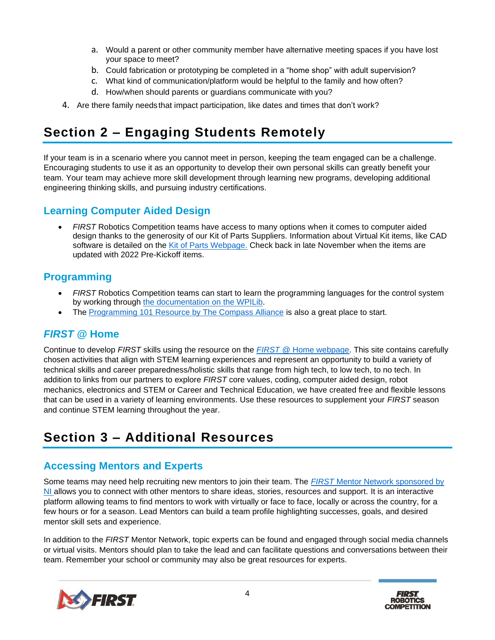- a. Would a parent or other community member have alternative meeting spaces if you have lost your space to meet?
- b. Could fabrication or prototyping be completed in a "home shop" with adult supervision?
- c. What kind of communication/platform would be helpful to the family and how often?
- d. How/when should parents or guardians communicate with you?
- 4. Are there family needsthat impact participation, like dates and times that don't work?

# **Section 2 – Engaging Students Remotely**

If your team is in a scenario where you cannot meet in person, keeping the team engaged can be a challenge. Encouraging students to use it as an opportunity to develop their own personal skills can greatly benefit your team. Your team may achieve more skill development through learning new programs, developing additional engineering thinking skills, and pursuing industry certifications.

## **Learning Computer Aided Design**

• *FIRST* Robotics Competition teams have access to many options when it comes to computer aided design thanks to the generosity of our Kit of Parts Suppliers. Information about Virtual Kit items, like CAD software is detailed on the [Kit of Parts Webpage.](https://www.firstinspires.org/robotics/frc/kit-of-parts#VirtualKit) Check back in late November when the items are updated with 2022 Pre-Kickoff items.

# **Programming**

- *FIRST* Robotics Competition teams can start to learn the programming languages for the control system by working through [the documentation on the WPILib.](https://docs.wpilib.org/en/stable/)
- The [Programming 101 Resource by The Compass Alliance](https://www.firstinspires.org/sites/default/files/uploads/resource_library/frc/team-resources/tca/tca-programming.pdf) is also a great place to start.

# *FIRST* **@ Home**

Continue to develop *FIRST* skills using the resource on the *FIRST* [@ Home webpage.](https://www.firstinspires.org/community/home-learning) This site contains carefully chosen activities that align with STEM learning experiences and represent an opportunity to build a variety of technical skills and career preparedness/holistic skills that range from high tech, to low tech, to no tech. In addition to links from our partners to explore *FIRST* core values, coding, computer aided design, robot mechanics, electronics and STEM or Career and Technical Education, we have created free and flexible lessons that can be used in a variety of learning environments. Use these resources to supplement your *FIRST* season and continue STEM learning throughout the year.

# **Section 3 – Additional Resources**

## **Accessing Mentors and Experts**

Some teams may need help recruiting new mentors to join their team. The *FIRST* [Mentor Network](https://info.firstinspires.org/mentor-network?utm_source=first-inspires&utm_medium=mentors-coaches&utm_campaign=fir-mentor-network&hsCtaTracking=9d570bda-21f6-4bee-a624-a5df741be93c%7Ca5f7e894-cc1f-47cd-8f82-fcb1be37e9e7) sponsored by NI allows you to connect with other mentors to share ideas, stories, resources and support. It is an interactive platform allowing teams to find mentors to work with virtually or face to face, locally or across the country, for a few hours or for a season. Lead Mentors can build a team profile highlighting successes, goals, and desired mentor skill sets and experience.

In addition to the *FIRST* Mentor Network, topic experts can be found and engaged through social media channels or virtual visits. Mentors should plan to take the lead and can facilitate questions and conversations between their team. Remember your school or community may also be great resources for experts.